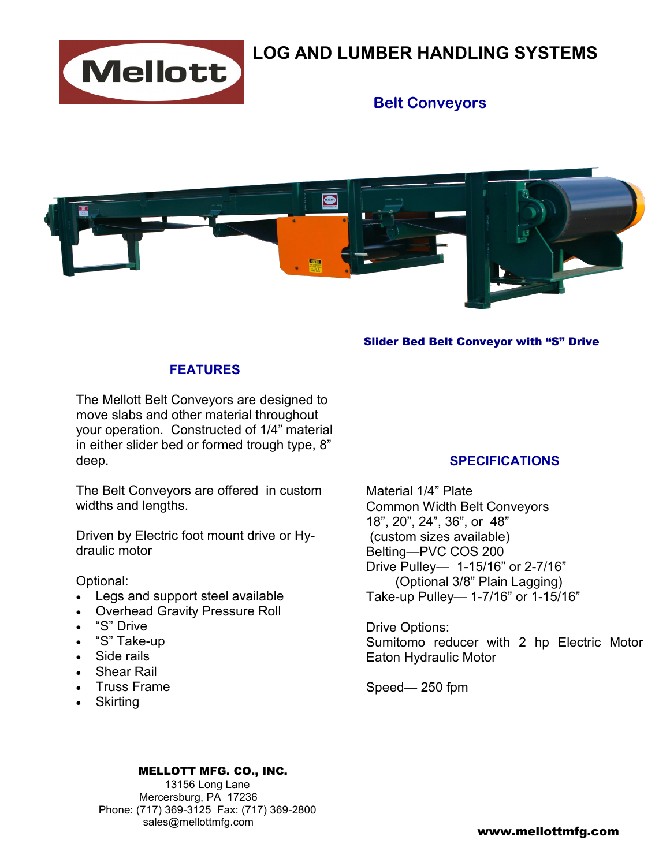

# **LOG AND LUMBER HANDLING SYSTEMS**

## **Belt Conveyors**



#### Slider Bed Belt Conveyor with "S" Drive

### **FEATURES**

The Mellott Belt Conveyors are designed to move slabs and other material throughout your operation. Constructed of 1/4" material in either slider bed or formed trough type, 8" deep.

The Belt Conveyors are offered in custom widths and lengths.

Driven by Electric foot mount drive or Hydraulic motor

Optional:

- Legs and support steel available
- Overhead Gravity Pressure Roll
- "S" Drive
- "S" Take-up
- Side rails
- Shear Rail
- Truss Frame
- Skirting

### **SPECIFICATIONS**

Material 1/4" Plate Common Width Belt Conveyors 18", 20", 24", 36", or 48" (custom sizes available) Belting—PVC COS 200 Drive Pulley— 1-15/16" or 2-7/16" (Optional 3/8" Plain Lagging) Take-up Pulley— 1-7/16" or 1-15/16"

Drive Options: Sumitomo reducer with 2 hp Electric Motor Eaton Hydraulic Motor

Speed— 250 fpm

#### MELLOTT MFG. CO., INC.

 13156 Long Lane Mercersburg, PA 17236 Phone: (717) 369-3125 Fax: (717) 369-2800 sales@mellottmfg.com